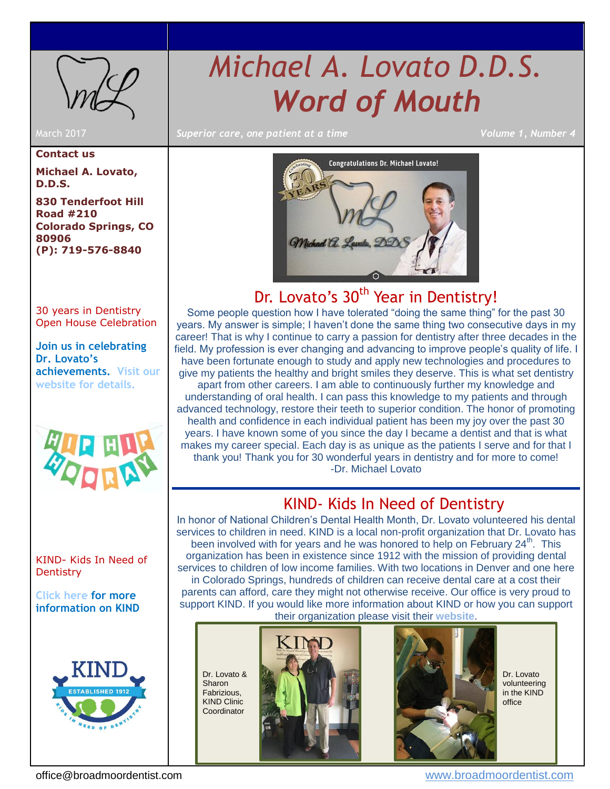**Contact us**

**Michael A. Lovato, D.D.S.**

**830 Tenderfoot Hill Road #210 Colorado Springs, CO 80906 (P): 719-576-8840**

#### 30 years [in Dentistry](#page-0-0) [Open House Celebration](#page-0-0)

**Join us in celebrating Dr. Lovato's achievements. [Visit our](http://www.broadmoordentist.com/office-newsletter/)  website [for details.](http://www.broadmoordentist.com/office-newsletter/)** 



#### KIND- [Kids In Need of](#page-0-1)  **[Dentistry](#page-0-1)**

**[Click here](http://kindsmiles.org/) for more information on KIND**



# *Michael A. Lovato D.D.S. Word of Mouth*

March 2017 *Superior care, one patient at a time Volume 1, Number 4*



### Dr. Lovato's 30<sup>th</sup> Year in Dentistry!

<span id="page-0-0"></span>Some people question how I have tolerated "doing the same thing" for the past 30 years. My answer is simple; I haven't done the same thing two consecutive days in my career! That is why I continue to carry a passion for dentistry after three decades in the field. My profession is ever changing and advancing to improve people's quality of life. I have been fortunate enough to study and apply new technologies and procedures to give my patients the healthy and bright smiles they deserve. This is what set dentistry apart from other careers. I am able to continuously further my knowledge and understanding of oral health. I can pass this knowledge to my patients and through advanced technology, restore their teeth to superior condition. The honor of promoting health and confidence in each individual patient has been my joy over the past 30 years. I have known some of you since the day I became a dentist and that is what makes my career special. Each day is as unique as the patients I serve and for that I thank you! Thank you for 30 wonderful years in dentistry and for more to come! -Dr. Michael Lovato

### KIND- Kids In Need of Dentistry

<span id="page-0-1"></span>In honor of National Children's Dental Health Month, Dr. Lovato volunteered his dental services to children in need. KIND is a local non-profit organization that Dr. Lovato has been involved with for years and he was honored to help on February  $24<sup>th</sup>$ . This organization has been in existence since 1912 with the mission of providing dental services to children of low income families. With two locations in Denver and one here in Colorado Springs, hundreds of children can receive dental care at a cost their parents can afford, care they might not otherwise receive. Our office is very proud to support KIND. If you would like more information about KIND or how you can support their organization please visit their **[website](http://kindsmiles.org/)**.

Dr. Lovato & **Sharon** Fabrizious, KIND Clinic Coordinator





Dr. Lovato volunteering in the KIND office

 $\overline{\phantom{a}}$ 

office@broadmoordentist.com [www.broadmoordentist.com](http://www.broadmoordentist.com/)